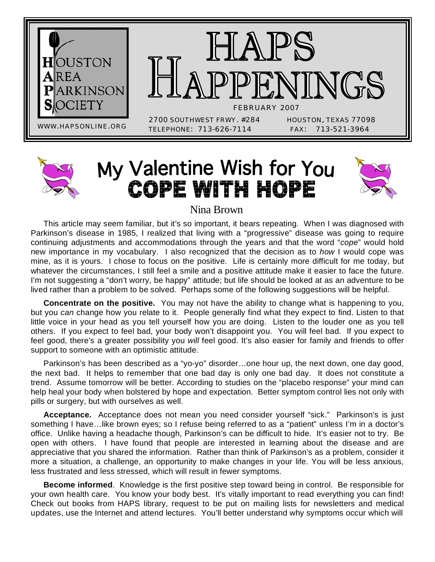

# My Valentine Wish for You **COPE WITH HOPE**



#### Nina Brown

This article may seem familiar, but it's so important, it bears repeating. When I was diagnosed with Parkinson's disease in 1985, I realized that living with a "progressive" disease was going to require continuing adjustments and accommodations through the years and that the word "*cope*" would hold new importance in my vocabulary. I also recognized that the decision as to *how* I would cope was mine, as it is yours. I chose to focus on the positive. Life is certainly more difficult for me today, but whatever the circumstances, I still feel a smile and a positive attitude make it easier to face the future. I'm not suggesting a "don't worry, be happy" attitude; but life should be looked at as an adventure to be lived rather than a problem to be solved. Perhaps some of the following suggestions will be helpful.

**Concentrate on the positive.** You may not have the ability to change what is happening to you, but you *can* change how you relate to it. People generally find what they expect to find. Listen to that little voice in your head as you tell yourself how you are doing. Listen to the louder one as you tell others. If you expect to feel bad, your body won't disappoint you. You will feel bad. If you expect to feel good, there's a greater possibility you *will* feel good. It's also easier for family and friends to offer support to someone with an optimistic attitude.

Parkinson's has been described as a "yo-yo" disorder…one hour up, the next down, one day good, the next bad. It helps to remember that one bad day is only one bad day. It does not constitute a trend. Assume tomorrow will be better. According to studies on the "placebo response" your mind can help heal your body when bolstered by hope and expectation. Better symptom control lies not only with pills or surgery, but with ourselves as well.

**Acceptance.** Acceptance does not mean you need consider yourself "sick." Parkinson's is just something I have…like brown eyes; so I refuse being referred to as a "patient" unless I'm in a doctor's office. Unlike having a headache though, Parkinson's can be difficult to hide. It's easier not to try. Be open with others. I have found that people are interested in learning about the disease and are appreciative that you shared the information. Rather than think of Parkinson's as a problem, consider it more a situation, a challenge, an opportunity to make changes in your life. You will be less anxious, less frustrated and less stressed, which will result in fewer symptoms.

**Become informed**. Knowledge is the first positive step toward being in control. Be responsible for your own health care. You know your body best. It's vitally important to read everything you can find! Check out books from HAPS library, request to be put on mailing lists for newsletters and medical updates, use the Internet and attend lectures. You'll better understand why symptoms occur which will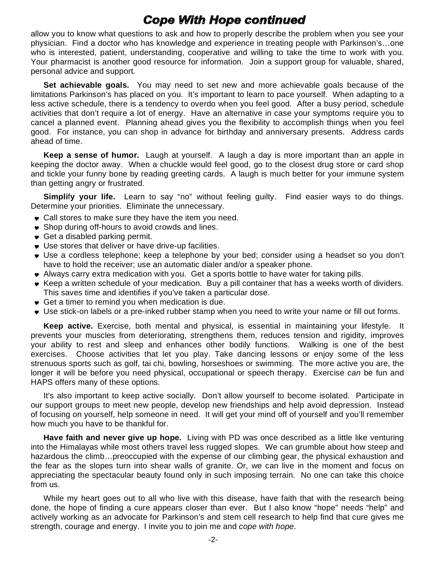#### **Cope With Hope continued**

allow you to know what questions to ask and how to properly describe the problem when you see your physician. Find a doctor who has knowledge and experience in treating people with Parkinson's…one who is interested, patient, understanding, cooperative and willing to take the time to work with you. Your pharmacist is another good resource for information. Join a support group for valuable, shared, personal advice and support.

**Set achievable goals.** You may need to set new and more achievable goals because of the limitations Parkinson's has placed on you. It's important to learn to pace yourself. When adapting to a less active schedule, there is a tendency to overdo when you feel good. After a busy period, schedule activities that don't require a lot of energy. Have an alternative in case your symptoms require you to cancel a planned event. Planning ahead gives you the flexibility to accomplish things when you feel good. For instance, you can shop in advance for birthday and anniversary presents. Address cards ahead of time.

**Keep a sense of humor.** Laugh at yourself. A laugh a day is more important than an apple in keeping the doctor away. When a chuckle would feel good, go to the closest drug store or card shop and tickle your funny bone by reading greeting cards. A laugh is much better for your immune system than getting angry or frustrated.

**Simpli**f**y your life.** Learn to say "no" without feeling guilty. Find easier ways to do things. Determine your priorities. Eliminate the unnecessary.

- Call stores to make sure they have the item you need.
- ◆ Shop during off-hours to avoid crowds and lines.
- Get a disabled parking permit.
- Use stores that deliver or have drive-up facilities.
- Use a cordless telephone; keep a telephone by your bed; consider using a headset so you don't have to hold the receiver; use an automatic dialer and/or a speaker phone.
- Always carry extra medication with you. Get a sports bottle to have water for taking pills.
- Keep a written schedule of your medication. Buy a pill container that has a weeks worth of dividers. This saves time and identifies if you've taken a particular dose.
- Get a timer to remind you when medication is due.
- Use stick-on labels or a pre-inked rubber stamp when you need to write your name or fill out forms.

**Keep active.** Exercise, both mental and physical, is essential in maintaining your lifestyle. It prevents your muscles from deteriorating, strengthens them, reduces tension and rigidity, improves your ability to rest and sleep and enhances other bodily functions. Walking is one of the best exercises. Choose activities that let you play. Take dancing lessons or enjoy some of the less strenuous sports such as golf, tai chi, bowling, horseshoes or swimming. The more active you are, the longer it will be before you need physical, occupational or speech therapy. Exercise *can* be fun and HAPS offers many of these options.

It's also important to keep active socially. Don't allow yourself to become isolated. Participate in our support groups to meet new people, develop new friendships and help avoid depression. Instead of focusing on yourself, help someone in need. It will get your mind off of yourself and you'll remember how much you have to be thankful for.

**Have faith and never give up hope.** Living with PD was once described as a little like venturing into the Himalayas while most others travel less rugged slopes. We can grumble about how steep and hazardous the climb...preoccupied with the expense of our climbing gear, the physical exhaustion and the fear as the slopes turn into shear walls of granite. Or, we can live in the moment and focus on appreciating the spectacular beauty found only in such imposing terrain. No one can take this choice from us.

While my heart goes out to all who live with this disease, have faith that with the research being done, the hope of finding a cure appears closer than ever. But I also know "hope" needs "help" and actively working as an advocate for Parkinson's and stem cell research to help find that cure gives me strength, courage and energy. I invite you to join me and *cope with hope*.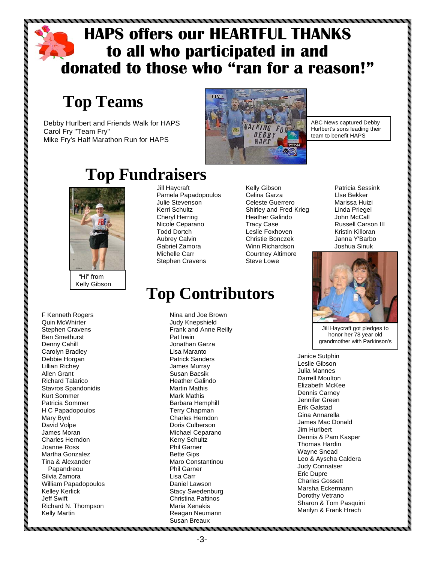### **HAPS offers our HEARTFUL THANKS to all who participated in and donated to those who "ran for a reason!"**

### **Top Teams**

Debby Hurlbert and Friends Walk for HAPS Carol Fry "Team Fry" Mike Fry's Half Marathon Run for HAPS



ABC News captured Debby Hurlbert's sons leading their team to benefit HAPS

> Patricia Sessink Llse Bekker Marissa Huizi Linda Priegel John McCall



F Kenneth Rogers Quin McWhirter Stephen Cravens Ben Smethurst Denny Cahill Carolyn Bradley Debbie Horgan Lillian Richey Allen Grant Richard Talarico Stavros Spandonidis Kurt Sommer Patricia Sommer H C Papadopoulos Mary Byrd David Volpe James Moran Charles Herndon Joanne Ross Martha Gonzalez Tina & Alexander Papandreou Silvia Zamora William Papadopoulos Kelley Kerlick Jeff Swift Richard N. Thompson Kelly Martin

,,,,,,,,,,,,,,,,,,,,,,,,,,,,

## **Top Fundraisers**

Jill Haycraft Pamela Papadopoulos Julie Stevenson Kerri Schultz Cheryl Herring Nicole Ceparano Todd Dortch Aubrey Calvin Gabriel Zamora Michelle Carr Stephen Cravens

Kelly Gibson Celina Garza Celeste Guerrero Shirley and Fred Krieg Heather Galindo Tracy Case Leslie Foxhoven Christie Bonczek Winn Richardson Courtney Altimore Steve Lowe

## **Top Contributors**

Nina and Joe Brown Judy Knepshield Frank and Anne Reilly Pat Irwin Jonathan Garza Lisa Maranto Patrick Sanders James Murray Susan Bacsik Heather Galindo Martin Mathis Mark Mathis Barbara Hemphill Terry Chapman Charles Herndon Doris Culberson Michael Ceparano Kerry Schultz Phil Garner Bette Gips Maro Constantinou Phil Garner Lisa Carr Daniel Lawson Stacy Swedenburg Christina Paftinos Maria Xenakis Reagan Neumann Susan Breaux

Russell Carson III Kristin Killoran Janna Y'Barbo Joshua Sinuk

Jill Haycraft got pledges to honor her 78 year old grandmother with Parkinson's

Janice Sutphin Leslie Gibson Julia Mannes Darrell Moulton Elizabeth McKee Dennis Carney Jennifer Green Erik Galstad Gina Annarella James Mac Donald Jim Hurlbert Dennis & Pam Kasper Thomas Hardin Wayne Snead Leo & Ayscha Caldera Judy Connatser Eric Dupre Charles Gossett Marsha Eckermann Dorothy Vetrano Sharon & Tom Pasquini Marilyn & Frank Hrach

,,,,,,,,,,,,,,,,,,,,,,,,,,,,,,,,,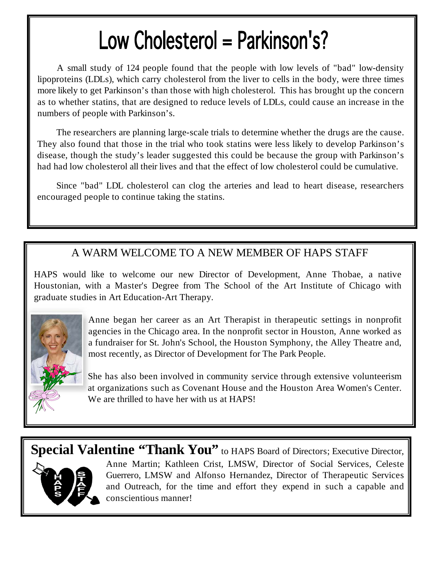# Low Cholesterol = Parkinson's?

A small study of 124 people found that the people with low levels of "bad" low-density lipoproteins (LDLs), which carry cholesterol from the liver to cells in the body, were three times more likely to get Parkinson's than those with high cholesterol. This has brought up the concern as to whether statins, that are designed to reduce levels of LDLs, could cause an increase in the numbers of people with Parkinson's.

The researchers are planning large-scale trials to determine whether the drugs are the cause. They also found that those in the trial who took statins were less likely to develop Parkinson's disease, though the study's leader suggested this could be because the group with Parkinson's had had low cholesterol all their lives and that the effect of low cholesterol could be cumulative.

Since "bad" LDL cholesterol can clog the arteries and lead to heart disease, researchers encouraged people to continue taking the statins.

#### A WARM WELCOME TO A NEW MEMBER OF HAPS STAFF

HAPS would like to welcome our new Director of Development, Anne Thobae, a native Houstonian, with a Master's Degree from The School of the Art Institute of Chicago with graduate studies in Art Education-Art Therapy.



Anne began her career as an Art Therapist in therapeutic settings in nonprofit agencies in the Chicago area. In the nonprofit sector in Houston, Anne worked as a fundraiser for St. John's School, the Houston Symphony, the Alley Theatre and, most recently, as Director of Development for The Park People.

She has also been involved in community service through extensive volunteerism at organizations such as Covenant House and the Houston Area Women's Center. We are thrilled to have her with us at HAPS!

**Special Valentine "Thank You"** to HAPS Board of Directors; Executive Director, Anne Martin; Kathleen Crist, LMSW, Director of Social Services, Celeste Guerrero, LMSW and Alfonso Hernandez, Director of Therapeutic Services and Outreach, for the time and effort they expend in such a capable and conscientious manner!